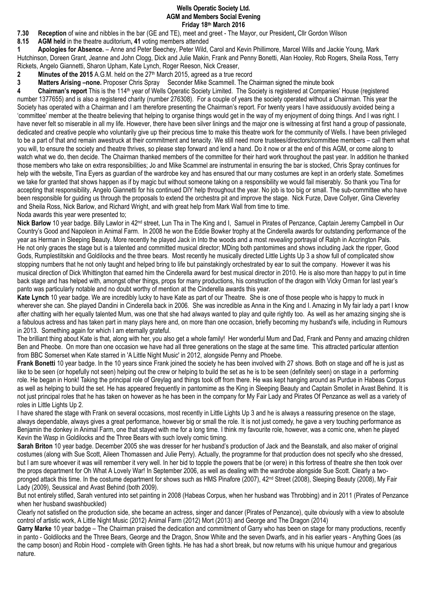#### **Wells Operatic Society Ltd. AGM and Members Social Evening Friday 18th March 2016**

**7.30 Reception** of wine and nibbles in the bar (GE and TE), meet and greet - The Mayor, our President**,** Cllr Gordon Wilson

**8.15 AGM held** in the theatre auditorium**, 41** voting members attended

**1 Apologies for Absence.** – Anne and Peter Beechey, Peter Wild, Carol and Kevin Phillimore, Marcel Wills and Jackie Young, Mark Hutchinson, Doreen Grant, Jeanne and John Clogg, Dick and Julie Makin, Frank and Penny Bonetti, Alan Hooley, Rob Rogers, Sheila Ross, Terry Rickets, Angelo Giannetti, Sharon Upham, Kate Lynch, Roger Reeson, Nick Creaser,

2 **Minutes of the 2015** A.G.M. held on the 27<sup>th</sup> March 2015, agreed as a true record

**3 Matters Arising –none.** Proposer Chris Spray Seconder Mike Scammell. The Chairman signed the minute book

**4 Chairman's report** This is the 114th year of Wells Operatic Society Limited. The Society is registered at Companies' House (registered number 1377655) and is also a registered charity (number 276308). For a couple of years the society operated without a Chairman. This year the Society has operated with a Chairman and I am therefore presenting the Chairman's report. For twenty years I have assiduously avoided being a 'committee' member at the theatre believing that helping to organise things would get in the way of my enjoyment of doing things. And I was right. I have never felt so miserable in all my life. However, there have been silver linings and the major one is witnessing at first hand a group of passionate, dedicated and creative people who voluntarily give up their precious time to make this theatre work for the community of Wells. I have been privileged to be a part of that and remain awestruck at their commitment and tenacity. We still need more trustees/directors/committee members – call them what you will, to ensure the society and theatre thrives, so please step forward and lend a hand. Do it now or at the end of this AGM, or come along to watch what we do, then decide. The Chairman thanked members of the committee for their hard work throughout the past year. In addition he thanked those members who take on extra responsibilities; Jo and Mike Scammel are instrumental in ensuring the bar is stocked, Chris Spray continues for help with the website, Tina Eyers as guardian of the wardrobe key and has ensured that our many costumes are kept in an orderly state. Sometimes we take for granted that shows happen as if by magic but without someone taking on a responsibility we would fail miserably. So thank you Tina for accepting that responsibility, Angelo Giannetti for his continued DIY help throughout the year. No job is too big or small. The sub-committee who have been responsible for guiding us through the proposals to extend the orchestra pit and improve the stage. Nick Furze, Dave Collyer, Gina Cleverley and Sheila Ross, Nick Barlow, and Richard Wright, and with great help from Mark Wall from time to time.

## Noda awards this year were presented to;

**Nick Barlow** 10 year badge. Billy Lawlor in 42nd street, Lun Tha in The King and I, Samuel in Pirates of Penzance, Captain Jeremy Campbell in Our Country's Good and Napoleon in Animal Farm. In 2008 he won the Eddie Bowker trophy at the Cinderella awards for outstanding performance of the year as Herman in Sleeping Beauty. More recently he played Jack in Into the woods and a most *revealing* portrayal of Ralph in Accrington Pals. He not only graces the stage but is a talented and committed musical director; MDing both pantomimes and shows including Jack the ripper, Good Gods, Rumplestiltskin and Goldilocks and the three bears. Most recently he musically directed Little Lights Up 3 a show full of complicated show stopping numbers that he not only taught and helped bring to life but painstakingly orchestrated by ear to suit the company. However it was his musical direction of Dick Whittington that earned him the Cinderella award for best musical director in 2010. He is also more than happy to put in time back stage and has helped with, amongst other things, props for many productions, his construction of the dragon with Vicky Orman for last year's panto was particularly notable and no doubt worthy of mention at the Cinderella awards this year.

**Kate Lynch** 10 year badge. We are incredibly lucky to have Kate as part of our Theatre. She is one of those people who is happy to muck in wherever she can. She played Dandini in Cinderella back in 2006. She was incredible as Anna in the King and I. Amazing in My fair lady a part I know after chatting with her equally talented Mum, was one that she had always wanted to play and quite rightly too. As well as her amazing singing she is a fabulous actress and has taken part in many plays here and, on more than one occasion, briefly becoming my husband's wife, including in Rumours in 2013. Something again for which I am eternally grateful.

The brilliant thing about Kate is that, along with her, you also get a whole family! Her wonderful Mum and Dad, Frank and Penny and amazing children Ben and Pheobe. On more than one occasion we have had all three generations on the stage at the same time. This attracted particular attention from BBC Somerset when Kate starred in 'A Little Night Music' in 2012, alongside Penny and Phoebe.

**Frank Bonetti** 10 year badge. In the 10 years since Frank joined the society he has been involved with 27 shows. Both on stage and off he is just as like to be seen (or hopefully not seen) helping out the crew or helping to build the set as he is to be seen (definitely seen) on stage in a performing role. He began in Honk! Taking the principal role of Greylag and things took off from there. He was kept hanging around as Purdue in Habeas Corpus as well as helping to build the set. He has appeared frequently in pantomime as the King in Sleeping Beauty and Captain Smollet in Avast Behind. It is not just principal roles that he has taken on however as he has been in the company for My Fair Lady and Pirates Of Penzance as well as a variety of roles in Little Lights Up 2.

I have shared the stage with Frank on several occasions, most recently in Little Lights Up 3 and he is always a reassuring presence on the stage, always dependable, always gives a great performance, however big or small the role. It is not just comedy, he gave a very touching performance as Benjamin the donkey in Animal Farm, one that stayed with me for a long time. I think my favourite role, however, was a comic one, when he played Kevin the Wasp in Goldilocks and the Three Bears with such lovely comic timing.

**Sarah Briton** 10 year badge. December 2005 she was dresser for her husband's production of Jack and the Beanstalk, and also maker of original costumes (along with Sue Scott, Aileen Thomassen and Julie Perry). Actually, the programme for that production does not specify who she dressed, but I am sure whoever it was will remember it very well. In her bid to topple the powers that be (or were) in this fortress of theatre she then took over the props department for Oh What A Lovely War! In September 2006, as well as dealing with the wardrobe alongside Sue Scott. Clearly a twopronged attack this time. In the costume department for shows such as HMS Pinafore (2007), 42<sup>nd</sup> Street (2008), Sleeping Beauty (2008), My Fair Lady (2009), Seussical and Avast Behind (both 2009).

But not entirely stifled, Sarah ventured into set painting in 2008 (Habeas Corpus, when her husband was Throbbing) and in 2011 (Pirates of Penzance when her husband swashbuckled)

Clearly not satisfied on the production side, she became an actress, singer and dancer (Pirates of Penzance), quite obviously with a view to absolute control of artistic work, A Little Night Music (2012) Animal Farm (2012) Mort (2013) and George and The Dragon (2014)

**Garry Marke** 10 year badge – The Chairman praised the dedication and commitment of Garry who has been on stage for many productions, recently in panto - Goldilocks and the Three Bears, George and the Dragon, Snow White and the seven Dwarfs, and in his earlier years - Anything Goes (as the camp boson) and Robin Hood - complete with Green tights. He has had a short break, but now returns with his unique humour and gregarious nature.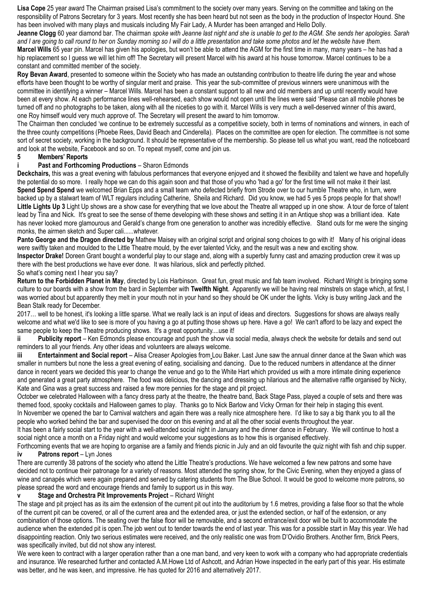**Lisa Cope** 25 year award The Chairman praised Lisa's commitment to the society over many years. Serving on the committee and taking on the responsibility of Patrons Secretary for 3 years. Most recently she has been heard but not seen as the body in the production of Inspector Hound. She has been involved with many plays and musicals including My Fair Lady, A Murder has been arranged and Hello Dolly.

**Jeanne Clogg** 60 year diamond bar. The chairman *spoke with Jeanne last night and she is unable to get to the AGM. She sends her apologies. Sarah and I are going to call round to her on Sunday morning so I will do a little presentation and take some photos and let the website have them.* **Marcel Wills** 65 year pin. Marcel has given his apologies, but won't be able to attend the AGM for the first time in many, many years – he has had a hip replacement so I guess we will let him off! The Secretary will present Marcel with his award at his house tomorrow. Marcel continues to be a constant and committed member of the society.

**Roy Bevan Award**, presented to someone within the Society who has made an outstanding contribution to theatre life during the year and whose efforts have been thought to be worthy of singular merit and praise. This year the sub-committee of previous winners were unanimous with the committee in identifying a winner – Marcel Wills. Marcel has been a constant support to all new and old members and up until recently would have been at every show. At each performance lines well-rehearsed, each show would not open until the lines were said 'Please can all mobile phones be turned off and no photographs to be taken, along with all the niceties to go with it. Marcel Wills is very much a well-deserved winner of this award, one Roy himself would very much approve of. The Secretary will present the award to him tomorrow.

The Chairman then concluded 'we continue to be extremely successful as a competitive society, both in terms of nominations and winners, in each of the three county competitions (Phoebe Rees, David Beach and Cinderella). Places on the committee are open for election. The committee is not some sort of secret society, working in the background. It should be representative of the membership. So please tell us what you want, read the noticeboard and look at the website, Facebook and so on. To repeat myself, come and join us.

## **5 Members' Reports**

# **i Past and Forthcoming Productions** – Sharon Edmonds

**Deckchairs,** this was a great evening with fabulous performances that everyone enjoyed and it showed the flexibility and talent we have and hopefully the potential do so more. I really hope we can do this again soon and that those of you who 'had a go' for the first time will not make it their last. **Spend Spend Spend** we welcomed Brian Epps and a small team who defected briefly from Strode over to our humble Theatre who, in turn, were backed up by a stalwart team of WLT regulars including Catherine, Sheila and Richard. Did you know, we had 5 yes 5 props people for that show!! **Little Lights Up 3** Light Up shows are a show case for everything that we love about the Theatre all wrapped up in one show. A tour de force of talent lead by Tina and Nick. It's great to see the sense of theme developing with these shows and setting it in an Antique shop was a brilliant idea. Kate has never looked more glamourous and Gerald's change from one generation to another was incredibly effective. Stand outs for me were the singing monks, the airmen sketch and Super cali......whatever.

**Panto George and the Dragon directed by** Mathew Maisey with an original script and original song choices to go with it! Many of his original ideas were swiftly taken and moulded to the Little Theatre mould, by the ever talented Vicky, and the result was a new and exciting show.

**Inspector Drake!** Doreen Grant bought a wonderful play to our stage and, along with a superbly funny cast and amazing production crew it was up there with the best productions we have ever done. It was hilarious, slick and perfectly pitched.

#### So what's coming next I hear you say?

**Return to the Forbidden Planet in May**, directed by Lois Harbinson. Great fun, great music and fab team involved. Richard Wright is bringing some culture to our boards with a show from the bard in September with **Twelfth Night**. Apparently we will be having real minstrels on stage which, at first, I was worried about but apparently they melt in your mouth not in your hand so they should be OK under the lights. Vicky is busy writing Jack and the Bean Stalk ready for December.

2017... well to be honest, it's looking a little sparse. What we really lack is an input of ideas and directors. Suggestions for shows are always really welcome and what we'd like to see is more of you having a go at putting those shows up here. Have a go! We can't afford to be lazy and expect the same people to keep the Theatre producing shows. It's a great opportunity....use it!

**ii Publicity report** – Ken Edmonds please encourage and push the show via social media, always check the website for details and send out reminders to all your friends. Any other ideas and volunteers are always welcome.

**iii Entertainment and Social report** – Alisa Creaser Apologies from Lou Baker. Last June saw the annual dinner dance at the Swan which was smaller in numbers but none the less a great evening of eating, socialising and dancing. Due to the reduced numbers in attendance at the dinner dance in recent years we decided this year to change the venue and go to the White Hart which provided us with a more intimate dining experience and generated a great party atmosphere. The food was delicious, the dancing and dressing up hilarious and the alternative raffle organised by Nicky, Kate and Gina was a great success and raised a few more pennies for the stage and pit project.

October we celebrated Halloween with a fancy dress party at the theatre, the theatre band, Back Stage Pass, played a couple of sets and there was themed food, spooky cocktails and Halloween games to play. Thanks go to Nick Barlow and Vicky Orman for their help in staging this event. In November we opened the bar to Carnival watchers and again there was a really nice atmosphere here. I'd like to say a big thank you to all the people who worked behind the bar and supervised the door on this evening and at all the other social events throughout the year.

It has been a fairly social start to the year with a well-attended social night in January and the dinner dance in February. We will continue to host a social night once a month on a Friday night and would welcome your suggestions as to how this is organised effectively.

Forthcoming events that we are hoping to organise are a family and friends picnic in July and an old favourite the quiz night with fish and chip supper. **iv Patrons report** – Lyn Jones

There are currently 38 patrons of the society who attend the Little Theatre's productions. We have welcomed a few new patrons and some have decided not to continue their patronage for a variety of reasons. Most attended the spring show, for the Civic Evening, when they enjoyed a glass of wine and canapés which were again prepared and served by catering students from The Blue School. It would be good to welcome more patrons, so please spread the word and encourage friends and family to support us in this way.

### **v Stage and Orchestra Pit Improvements Project** – Richard Wright

The stage and pit project has as its aim the extension of the current pit out into the auditorium by 1.6 metres, providing a false floor so that the whole of the current pit can be covered, or all of the current area and the extended area, or just the extended section, or half of the extension, or any combination of those options. The seating over the false floor will be removable, and a second entrance/exit door will be built to accommodate the audience when the extended pit is open.The job went out to tender towards the end of last year. This was for a possible start in May this year. We had disappointing reaction. Only two serious estimates were received, and the only realistic one was from D'Ovidio Brothers. Another firm, Brick Peers, was specifically invited, but did not show any interest.

We were keen to contract with a larger operation rather than a one man band, and very keen to work with a company who had appropriate credentials and insurance. We researched further and contacted A.M.Howe Ltd of Ashcott, and Adrian Howe inspected in the early part of this year. His estimate was better, and he was keen, and impressive. He has quoted for 2016 and alternatively 2017.